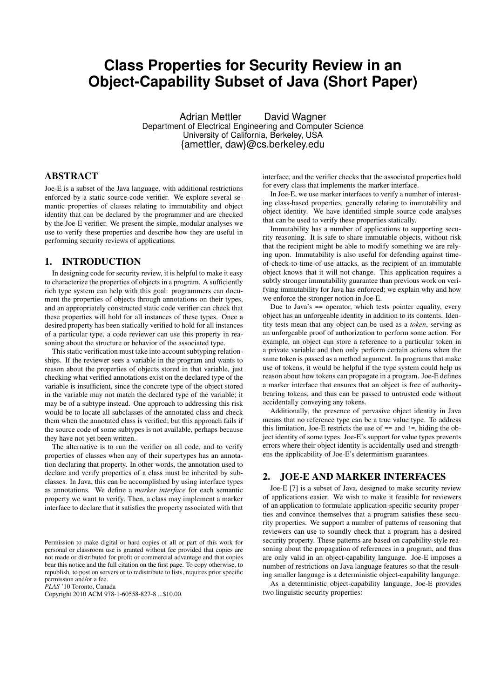# **Class Properties for Security Review in an Object-Capability Subset of Java (Short Paper)**

Adrian Mettler David Wagner Department of Electrical Engineering and Computer Science University of California, Berkeley, USA {amettler, daw}@cs.berkeley.edu

## ABSTRACT

Joe-E is a subset of the Java language, with additional restrictions enforced by a static source-code verifier. We explore several semantic properties of classes relating to immutability and object identity that can be declared by the programmer and are checked by the Joe-E verifier. We present the simple, modular analyses we use to verify these properties and describe how they are useful in performing security reviews of applications.

#### 1. INTRODUCTION

In designing code for security review, it is helpful to make it easy to characterize the properties of objects in a program. A sufficiently rich type system can help with this goal: programmers can document the properties of objects through annotations on their types, and an appropriately constructed static code verifier can check that these properties will hold for all instances of these types. Once a desired property has been statically verified to hold for all instances of a particular type, a code reviewer can use this property in reasoning about the structure or behavior of the associated type.

This static verification must take into account subtyping relationships. If the reviewer sees a variable in the program and wants to reason about the properties of objects stored in that variable, just checking what verified annotations exist on the declared type of the variable is insufficient, since the concrete type of the object stored in the variable may not match the declared type of the variable; it may be of a subtype instead. One approach to addressing this risk would be to locate all subclasses of the annotated class and check them when the annotated class is verified; but this approach fails if the source code of some subtypes is not available, perhaps because they have not yet been written.

The alternative is to run the verifier on all code, and to verify properties of classes when any of their supertypes has an annotation declaring that property. In other words, the annotation used to declare and verify properties of a class must be inherited by subclasses. In Java, this can be accomplished by using interface types as annotations. We define a *marker interface* for each semantic property we want to verify. Then, a class may implement a marker interface to declare that it satisfies the property associated with that

*PLAS* '10 Toronto, Canada

Copyright 2010 ACM 978-1-60558-827-8 ...\$10.00.

interface, and the verifier checks that the associated properties hold for every class that implements the marker interface.

In Joe-E, we use marker interfaces to verify a number of interesting class-based properties, generally relating to immutability and object identity. We have identified simple source code analyses that can be used to verify these properties statically.

Immutability has a number of applications to supporting security reasoning. It is safe to share immutable objects, without risk that the recipient might be able to modify something we are relying upon. Immutability is also useful for defending against timeof-check-to-time-of-use attacks, as the recipient of an immutable object knows that it will not change. This application requires a subtly stronger immutability guarantee than previous work on verifying immutability for Java has enforced; we explain why and how we enforce the stronger notion in Joe-E.

Due to Java's == operator, which tests pointer equality, every object has an unforgeable identity in addition to its contents. Identity tests mean that any object can be used as a *token*, serving as an unforgeable proof of authorization to perform some action. For example, an object can store a reference to a particular token in a private variable and then only perform certain actions when the same token is passed as a method argument. In programs that make use of tokens, it would be helpful if the type system could help us reason about how tokens can propagate in a program. Joe-E defines a marker interface that ensures that an object is free of authoritybearing tokens, and thus can be passed to untrusted code without accidentally conveying any tokens.

Additionally, the presence of pervasive object identity in Java means that no reference type can be a true value type. To address this limitation, Joe-E restricts the use of  $==$  and  $!=$ , hiding the object identity of some types. Joe-E's support for value types prevents errors where their object identity is accidentally used and strengthens the applicability of Joe-E's determinism guarantees.

#### 2. JOE-E AND MARKER INTERFACES

Joe-E [7] is a subset of Java, designed to make security review of applications easier. We wish to make it feasible for reviewers of an application to formulate application-specific security properties and convince themselves that a program satisfies these security properties. We support a number of patterns of reasoning that reviewers can use to soundly check that a program has a desired security property. These patterns are based on capability-style reasoning about the propagation of references in a program, and thus are only valid in an object-capability language. Joe-E imposes a number of restrictions on Java language features so that the resulting smaller language is a deterministic object-capability language.

As a deterministic object-capability language, Joe-E provides two linguistic security properties:

Permission to make digital or hard copies of all or part of this work for personal or classroom use is granted without fee provided that copies are not made or distributed for profit or commercial advantage and that copies bear this notice and the full citation on the first page. To copy otherwise, to republish, to post on servers or to redistribute to lists, requires prior specific permission and/or a fee.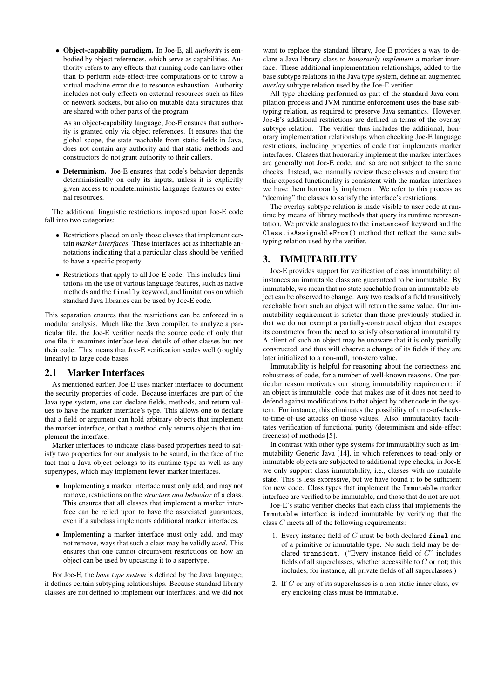• Object-capability paradigm. In Joe-E, all *authority* is embodied by object references, which serve as capabilities. Authority refers to any effects that running code can have other than to perform side-effect-free computations or to throw a virtual machine error due to resource exhaustion. Authority includes not only effects on external resources such as files or network sockets, but also on mutable data structures that are shared with other parts of the program.

As an object-capability language, Joe-E ensures that authority is granted only via object references. It ensures that the global scope, the state reachable from static fields in Java, does not contain any authority and that static methods and constructors do not grant authority to their callers.

• Determinism. Joe-E ensures that code's behavior depends deterministically on only its inputs, unless it is explicitly given access to nondeterministic language features or external resources.

The additional linguistic restrictions imposed upon Joe-E code fall into two categories:

- Restrictions placed on only those classes that implement certain *marker interfaces*. These interfaces act as inheritable annotations indicating that a particular class should be verified to have a specific property.
- Restrictions that apply to all Joe-E code. This includes limitations on the use of various language features, such as native methods and the finally keyword, and limitations on which standard Java libraries can be used by Joe-E code.

This separation ensures that the restrictions can be enforced in a modular analysis. Much like the Java compiler, to analyze a particular file, the Joe-E verifier needs the source code of only that one file; it examines interface-level details of other classes but not their code. This means that Joe-E verification scales well (roughly linearly) to large code bases.

## 2.1 Marker Interfaces

As mentioned earlier, Joe-E uses marker interfaces to document the security properties of code. Because interfaces are part of the Java type system, one can declare fields, methods, and return values to have the marker interface's type. This allows one to declare that a field or argument can hold arbitrary objects that implement the marker interface, or that a method only returns objects that implement the interface.

Marker interfaces to indicate class-based properties need to satisfy two properties for our analysis to be sound, in the face of the fact that a Java object belongs to its runtime type as well as any supertypes, which may implement fewer marker interfaces.

- Implementing a marker interface must only add, and may not remove, restrictions on the *structure and behavior* of a class. This ensures that all classes that implement a marker interface can be relied upon to have the associated guarantees, even if a subclass implements additional marker interfaces.
- Implementing a marker interface must only add, and may not remove, ways that such a class may be validly *used*. This ensures that one cannot circumvent restrictions on how an object can be used by upcasting it to a supertype.

For Joe-E, the *base type system* is defined by the Java language; it defines certain subtyping relationships. Because standard library classes are not defined to implement our interfaces, and we did not

want to replace the standard library, Joe-E provides a way to declare a Java library class to *honorarily implement* a marker interface. These additional implementation relationships, added to the base subtype relations in the Java type system, define an augmented *overlay* subtype relation used by the Joe-E verifier.

All type checking performed as part of the standard Java compilation process and JVM runtime enforcement uses the base subtyping relation, as required to preserve Java semantics. However, Joe-E's additional restrictions are defined in terms of the overlay subtype relation. The verifier thus includes the additional, honorary implementation relationships when checking Joe-E language restrictions, including properties of code that implements marker interfaces. Classes that honorarily implement the marker interfaces are generally not Joe-E code, and so are not subject to the same checks. Instead, we manually review these classes and ensure that their exposed functionality is consistent with the marker interfaces we have them honorarily implement. We refer to this process as "deeming" the classes to satisfy the interface's restrictions.

The overlay subtype relation is made visible to user code at runtime by means of library methods that query its runtime representation. We provide analogues to the instanceof keyword and the Class.isAssignableFrom() method that reflect the same subtyping relation used by the verifier.

## 3. IMMUTABILITY

Joe-E provides support for verification of class immutability: all instances an immutable class are guaranteed to be immutable. By immutable, we mean that no state reachable from an immutable object can be observed to change. Any two reads of a field transitively reachable from such an object will return the same value. Our immutability requirement is stricter than those previously studied in that we do not exempt a partially-constructed object that escapes its constructor from the need to satisfy observational immutability. A client of such an object may be unaware that it is only partially constructed, and thus will observe a change of its fields if they are later initialized to a non-null, non-zero value.

Immutability is helpful for reasoning about the correctness and robustness of code, for a number of well-known reasons. One particular reason motivates our strong immutability requirement: if an object is immutable, code that makes use of it does not need to defend against modifications to that object by other code in the system. For instance, this eliminates the possibility of time-of-checkto-time-of-use attacks on those values. Also, immutability facilitates verification of functional purity (determinism and side-effect freeness) of methods [5].

In contrast with other type systems for immutability such as Immutability Generic Java [14], in which references to read-only or immutable objects are subjected to additional type checks, in Joe-E we only support class immutability, i.e., classes with no mutable state. This is less expressive, but we have found it to be sufficient for new code. Class types that implement the Immutable marker interface are verified to be immutable, and those that do not are not.

Joe-E's static verifier checks that each class that implements the Immutable interface is indeed immutable by verifying that the class C meets all of the following requirements:

- 1. Every instance field of C must be both declared final and of a primitive or immutable type. No such field may be declared transient. ("Every instance field of C" includes fields of all superclasses, whether accessible to  $C$  or not; this includes, for instance, all private fields of all superclasses.)
- 2. If C or any of its superclasses is a non-static inner class, every enclosing class must be immutable.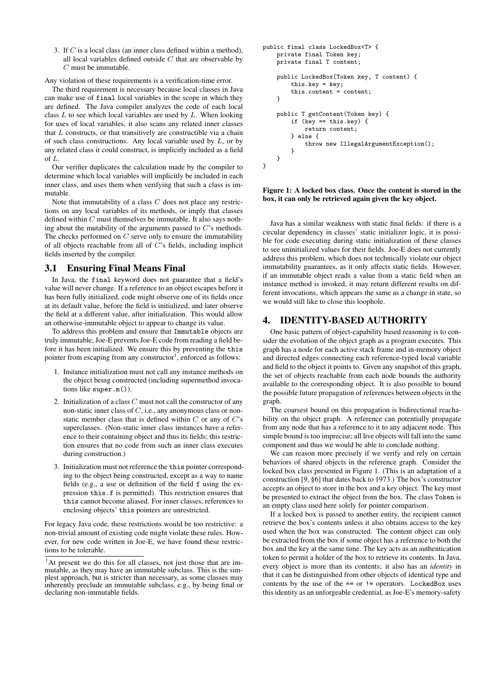3. If C is a local class (an inner class defined within a method), all local variables defined outside  $C$  that are observable by C must be immutable.

Any violation of these requirements is a verification-time error.

The third requirement is necessary because local classes in Java can make use of final local variables in the scope in which they are defined. The Java compiler analyzes the code of each local class  $L$  to see which local variables are used by  $L$ . When looking for uses of local variables, it also scans any related inner classes that  $L$  constructs, or that transitively are constructible via a chain of such class constructions. Any local variable used by  $L$ , or by any related class it could construct, is implicitly included as a field of L.

Our verifier duplicates the calculation made by the compiler to determine which local variables will implicitly be included in each inner class, and uses them when verifying that such a class is immutable.

Note that immutability of a class  $C$  does not place any restrictions on any local variables of its methods, or imply that classes defined within  $C$  must themselves be immutable. It also says nothing about the mutability of the arguments passed to  $C$ 's methods. The checks performed on  $C$  serve only to ensure the immutability of all objects reachable from all of C's fields, including implicit fields inserted by the compiler.

#### 3.1 Ensuring Final Means Final

In Java, the final keyword does not guarantee that a field's value will never change. If a reference to an object escapes before it has been fully initialized, code might observe one of its fields once at its default value, before the field is initialized, and later observe the field at a different value, after initialization. This would allow an otherwise-immutable object to appear to change its value.

To address this problem and ensure that Immutable objects are truly immutable, Joe-E prevents Joe-E code from reading a field before it has been initialized. We ensure this by preventing the this pointer from escaping from any constructor<sup>1</sup>, enforced as follows:

- 1. Instance initialization must not call any instance methods on the object being constructed (including supermethod invocations like super.m()).
- 2. Initialization of a class  $C$  must not call the constructor of any non-static inner class of C, i.e., any anonymous class or nonstatic member class that is defined within  $C$  or any of  $C$ 's superclasses. (Non-static inner class instances have a reference to their containing object and thus its fields; this restriction ensures that no code from such an inner class executes during construction.)
- 3. Initialization must not reference the this pointer corresponding to the object being constructed, except as a way to name fields (e.g., a use or definition of the field f using the expression this.f is permitted). This restriction ensures that this cannot become aliased. For inner classes, references to enclosing objects' this pointers are unrestricted.

For legacy Java code, these restrictions would be too restrictive: a non-trivial amount of existing code might violate these rules. However, for new code written in Joe-E, we have found these restrictions to be tolerable.

```
public final class LockedBox<T> {
    private final Token key;
    private final T content;
    public LockedBox(Token key, T content) {
        this.key = key;
        this.content = content;
    }
    public T getContent(Token key) {
        if (key == this.key) {
            return content;
        } else {
            throw new IllegalArgumentException();
        }
    }
}
```
#### Figure 1: A locked box class. Once the content is stored in the box, it can only be retrieved again given the key object.

Java has a similar weakness with static final fields: if there is a circular dependency in classes' static initializer logic, it is possible for code executing during static initialization of these classes to see uninitialized values for their fields. Joe-E does not currently address this problem, which does not technically violate our object immutability guarantees, as it only affects static fields. However, if an immutable object reads a value from a static field when an instance method is invoked, it may return different results on different invocations, which appears the same as a change in state, so we would still like to close this loophole.

## 4. IDENTITY-BASED AUTHORITY

One basic pattern of object-capability based reasoning is to consider the evolution of the object graph as a program executes. This graph has a node for each active stack frame and in-memory object and directed edges connecting each reference-typed local variable and field to the object it points to. Given any snapshot of this graph, the set of objects reachable from each node bounds the authority available to the corresponding object. It is also possible to bound the possible future propagation of references between objects in the graph.

The coarsest bound on this propagation is bidirectional reachability on the object graph. A reference can potentially propagate from any node that has a reference to it to any adjacent node. This simple bound is too imprecise; all live objects will fall into the same component and thus we would be able to conclude nothing.

We can reason more precisely if we verify and rely on certain behaviors of shared objects in the reference graph. Consider the locked box class presented in Figure 1. (This is an adaptation of a construction [9, §6] that dates back to 1973.) The box's constructor accepts an object to store in the box and a key object. The key must be presented to extract the object from the box. The class Token is an empty class used here solely for pointer comparison.

If a locked box is passed to another entity, the recipient cannot retrieve the box's contents unless it also obtains access to the key used when the box was constructed. The content object can only be extracted from the box if some object has a reference to both the box and the key at the same time. The key acts as an authentication token to permit a holder of the box to retrieve its contents. In Java, every object is more than its contents; it also has an *identity* in that it can be distinguished from other objects of identical type and contents by the use of the  $==$  or  $!=$  operators. LockedBox uses this identity as an unforgeable credential, as Joe-E's memory-safety

<sup>&</sup>lt;sup>1</sup>At present we do this for all classes, not just those that are immutable, as they may have an immutable subclass. This is the simplest approach, but is stricter than necessary, as some classes may inherently preclude an immutable subclass, e.g., by being final or declaring non-immutable fields.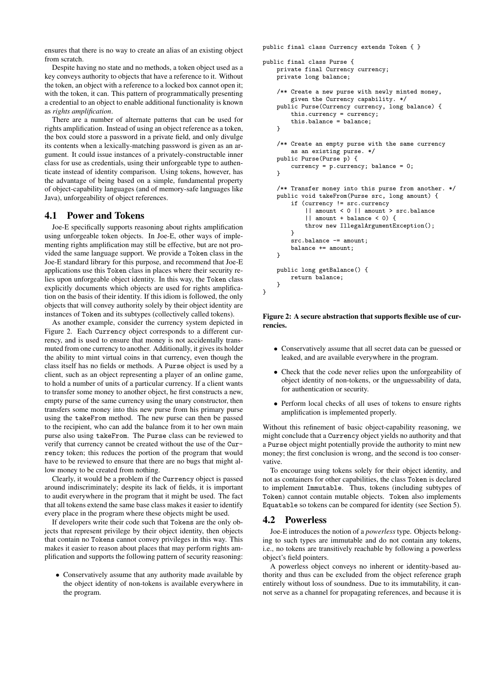ensures that there is no way to create an alias of an existing object from scratch.

Despite having no state and no methods, a token object used as a key conveys authority to objects that have a reference to it. Without the token, an object with a reference to a locked box cannot open it; with the token, it can. This pattern of programmatically presenting a credential to an object to enable additional functionality is known as *rights amplification*.

There are a number of alternate patterns that can be used for rights amplification. Instead of using an object reference as a token, the box could store a password in a private field, and only divulge its contents when a lexically-matching password is given as an argument. It could issue instances of a privately-constructable inner class for use as credentials, using their unforgeable type to authenticate instead of identity comparison. Using tokens, however, has the advantage of being based on a simple, fundamental property of object-capability languages (and of memory-safe languages like Java), unforgeability of object references.

## 4.1 Power and Tokens

Joe-E specifically supports reasoning about rights amplification using unforgeable token objects. In Joe-E, other ways of implementing rights amplification may still be effective, but are not provided the same language support. We provide a Token class in the Joe-E standard library for this purpose, and recommend that Joe-E applications use this Token class in places where their security relies upon unforgeable object identity. In this way, the Token class explicitly documents which objects are used for rights amplification on the basis of their identity. If this idiom is followed, the only objects that will convey authority solely by their object identity are instances of Token and its subtypes (collectively called tokens).

As another example, consider the currency system depicted in Figure 2. Each Currency object corresponds to a different currency, and is used to ensure that money is not accidentally transmuted from one currency to another. Additionally, it gives its holder the ability to mint virtual coins in that currency, even though the class itself has no fields or methods. A Purse object is used by a client, such as an object representing a player of an online game, to hold a number of units of a particular currency. If a client wants to transfer some money to another object, he first constructs a new, empty purse of the same currency using the unary constructor, then transfers some money into this new purse from his primary purse using the takeFrom method. The new purse can then be passed to the recipient, who can add the balance from it to her own main purse also using takeFrom. The Purse class can be reviewed to verify that currency cannot be created without the use of the Currency token; this reduces the portion of the program that would have to be reviewed to ensure that there are no bugs that might allow money to be created from nothing.

Clearly, it would be a problem if the Currency object is passed around indiscriminately; despite its lack of fields, it is important to audit everywhere in the program that it might be used. The fact that all tokens extend the same base class makes it easier to identify every place in the program where these objects might be used.

If developers write their code such that Tokens are the only objects that represent privilege by their object identity, then objects that contain no Tokens cannot convey privileges in this way. This makes it easier to reason about places that may perform rights amplification and supports the following pattern of security reasoning:

• Conservatively assume that any authority made available by the object identity of non-tokens is available everywhere in the program.

```
public final class Currency extends Token { }
public final class Purse {
    private final Currency currency;
    private long balance;
    /** Create a new purse with newly minted money,
        given the Currency capability. */
    public Purse(Currency currency, long balance) {
        this.currency = currency;
        this.balance = balance;}
    /** Create an empty purse with the same currency
        as an existing purse. */
    public Purse(Purse p) {
        currency = p.currency; balance = 0;
    }
    /** Transfer money into this purse from another. */
    public void takeFrom(Purse src, long amount) {
        if (currency != src.currency
            || amount < 0 || amount > src.balance
            || amount + balance < 0) {
            throw new IllegalArgumentException();
        }
        src.balance -= amount:
        balance += amount;
    }
    public long getBalance() {
        return balance;
    }
}
```
Figure 2: A secure abstraction that supports flexible use of currencies.

- Conservatively assume that all secret data can be guessed or leaked, and are available everywhere in the program.
- Check that the code never relies upon the unforgeability of object identity of non-tokens, or the unguessability of data, for authentication or security.
- Perform local checks of all uses of tokens to ensure rights amplification is implemented properly.

Without this refinement of basic object-capability reasoning, we might conclude that a Currency object yields no authority and that a Purse object might potentially provide the authority to mint new money; the first conclusion is wrong, and the second is too conservative.

To encourage using tokens solely for their object identity, and not as containers for other capabilities, the class Token is declared to implement Immutable. Thus, tokens (including subtypes of Token) cannot contain mutable objects. Token also implements Equatable so tokens can be compared for identity (see Section 5).

## 4.2 Powerless

Joe-E introduces the notion of a *powerless* type. Objects belonging to such types are immutable and do not contain any tokens, i.e., no tokens are transitively reachable by following a powerless object's field pointers.

A powerless object conveys no inherent or identity-based authority and thus can be excluded from the object reference graph entirely without loss of soundness. Due to its immutability, it cannot serve as a channel for propagating references, and because it is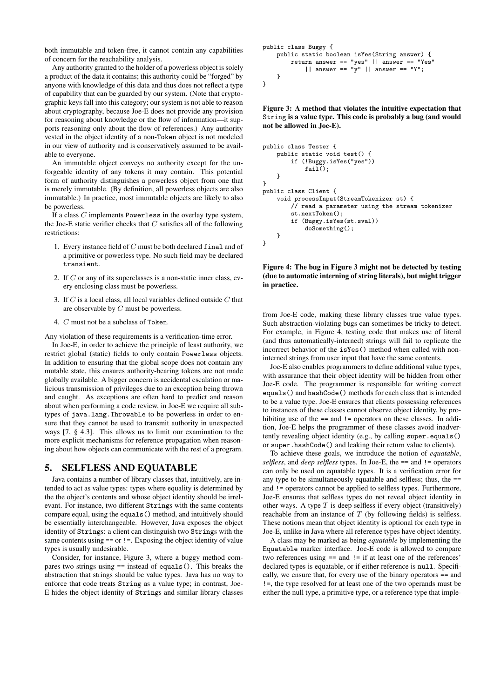both immutable and token-free, it cannot contain any capabilities of concern for the reachability analysis.

Any authority granted to the holder of a powerless object is solely a product of the data it contains; this authority could be "forged" by anyone with knowledge of this data and thus does not reflect a type of capability that can be guarded by our system. (Note that cryptographic keys fall into this category; our system is not able to reason about cryptography, because Joe-E does not provide any provision for reasoning about knowledge or the flow of information—it supports reasoning only about the flow of references.) Any authority vested in the object identity of a non-Token object is not modeled in our view of authority and is conservatively assumed to be available to everyone.

An immutable object conveys no authority except for the unforgeable identity of any tokens it may contain. This potential form of authority distinguishes a powerless object from one that is merely immutable. (By definition, all powerless objects are also immutable.) In practice, most immutable objects are likely to also be powerless.

If a class  $C$  implements Powerless in the overlay type system, the Joe-E static verifier checks that  $C$  satisfies all of the following restrictions:

- 1. Every instance field of C must be both declared final and of a primitive or powerless type. No such field may be declared transient.
- 2. If  $C$  or any of its superclasses is a non-static inner class, every enclosing class must be powerless.
- 3. If  $C$  is a local class, all local variables defined outside  $C$  that are observable by C must be powerless.
- 4. C must not be a subclass of Token.

Any violation of these requirements is a verification-time error.

In Joe-E, in order to achieve the principle of least authority, we restrict global (static) fields to only contain Powerless objects. In addition to ensuring that the global scope does not contain any mutable state, this ensures authority-bearing tokens are not made globally available. A bigger concern is accidental escalation or malicious transmission of privileges due to an exception being thrown and caught. As exceptions are often hard to predict and reason about when performing a code review, in Joe-E we require all subtypes of java.lang.Throwable to be powerless in order to ensure that they cannot be used to transmit authority in unexpected ways [7, § 4.3]. This allows us to limit our examination to the more explicit mechanisms for reference propagation when reasoning about how objects can communicate with the rest of a program.

#### 5. SELFLESS AND EQUATABLE

Java contains a number of library classes that, intuitively, are intended to act as value types: types where equality is determined by the the object's contents and whose object identity should be irrelevant. For instance, two different Strings with the same contents compare equal, using the equals() method, and intuitively should be essentially interchangeable. However, Java exposes the object identity of Strings: a client can distinguish two Strings with the same contents using  $==$  or  $!=$ . Exposing the object identity of value types is usually undesirable.

Consider, for instance, Figure 3, where a buggy method compares two strings using == instead of equals(). This breaks the abstraction that strings should be value types. Java has no way to enforce that code treats String as a value type; in contrast, Joe-E hides the object identity of Strings and similar library classes

```
public class Buggy {
    public static boolean isYes(String answer) {
        return answer == "yes" || answer == "Yes"
            || answer == "y" || answer == "Y";
    }
}
```
Figure 3: A method that violates the intuitive expectation that String is a value type. This code is probably a bug (and would not be allowed in Joe-E).

```
public class Tester {
    public static void test() {
        if (!Buggy.isYes("yes"))
            fail();
    }
}
public class Client {
    void processInput(StreamTokenizer st) {
        // read a parameter using the stream tokenizer
        st.nextToken();
        if (Buggy.isYes(st.sval))
            doSomething();
    }
}
```
Figure 4: The bug in Figure 3 might not be detected by testing (due to automatic interning of string literals), but might trigger in practice.

from Joe-E code, making these library classes true value types. Such abstraction-violating bugs can sometimes be tricky to detect. For example, in Figure 4, testing code that makes use of literal (and thus automatically-interned) strings will fail to replicate the incorrect behavior of the isYes() method when called with noninterned strings from user input that have the same contents.

Joe-E also enables programmers to define additional value types, with assurance that their object identity will be hidden from other Joe-E code. The programmer is responsible for writing correct equals() and hashCode() methods for each class that is intended to be a value type. Joe-E ensures that clients possessing references to instances of these classes cannot observe object identity, by prohibiting use of the  $==$  and  $!=$  operators on these classes. In addition, Joe-E helps the programmer of these classes avoid inadvertently revealing object identity (e.g., by calling super.equals() or super.hashCode() and leaking their return value to clients).

To achieve these goals, we introduce the notion of *equatable*, *selfless*, and *deep selfless* types. In Joe-E, the == and != operators can only be used on equatable types. It is a verification error for any type to be simultaneously equatable and selfless; thus, the == and != operators cannot be applied to selfless types. Furthermore, Joe-E ensures that selfless types do not reveal object identity in other ways. A type  $T$  is deep selfless if every object (transitively) reachable from an instance of  $T$  (by following fields) is selfless. These notions mean that object identity is optional for each type in Joe-E, unlike in Java where all reference types have object identity.

A class may be marked as being *equatable* by implementing the Equatable marker interface. Joe-E code is allowed to compare two references using == and != if at least one of the references' declared types is equatable, or if either reference is null. Specifically, we ensure that, for every use of the binary operators == and !=, the type resolved for at least one of the two operands must be either the null type, a primitive type, or a reference type that imple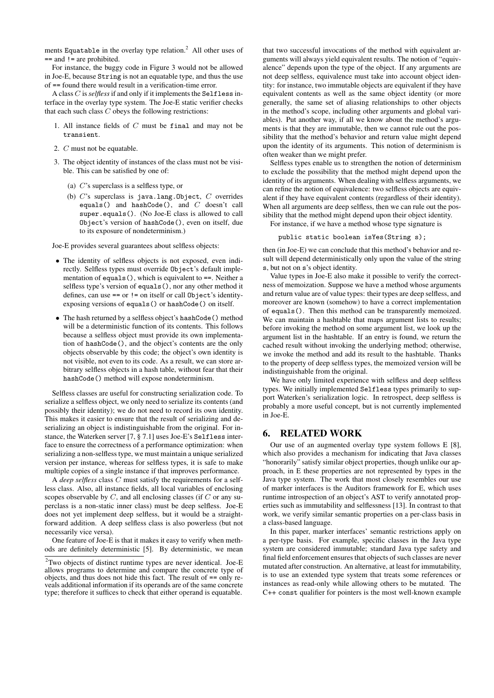ments Equatable in the overlay type relation.<sup>2</sup> All other uses of == and != are prohibited.

For instance, the buggy code in Figure 3 would not be allowed in Joe-E, because String is not an equatable type, and thus the use of == found there would result in a verification-time error.

A class C is*selfless*if and only if it implements the Selfless interface in the overlay type system. The Joe-E static verifier checks that each such class  $C$  obeys the following restrictions:

- 1. All instance fields of  $C$  must be final and may not be transient.
- 2. C must not be equatable.
- 3. The object identity of instances of the class must not be visible. This can be satisfied by one of:
	- (a) C's superclass is a selfless type, or
	- (b)  $C$ 's superclass is java.lang.Object,  $C$  overrides equals() and hashCode(), and C doesn't call super.equals(). (No Joe-E class is allowed to call Object's version of hashCode(), even on itself, due to its exposure of nondeterminism.)

Joe-E provides several guarantees about selfless objects:

- The identity of selfless objects is not exposed, even indirectly. Selfless types must override Object's default implementation of equals(), which is equivalent to ==. Neither a selfless type's version of equals(), nor any other method it defines, can use == or != on itself or call Object's identityexposing versions of equals() or hashCode() on itself.
- The hash returned by a selfless object's hashCode() method will be a deterministic function of its contents. This follows because a selfless object must provide its own implementation of hashCode(), and the object's contents are the only objects observable by this code; the object's own identity is not visible, not even to its code. As a result, we can store arbitrary selfless objects in a hash table, without fear that their hashCode() method will expose nondeterminism.

Selfless classes are useful for constructing serialization code. To serialize a selfless object, we only need to serialize its contents (and possibly their identity); we do not need to record its own identity. This makes it easier to ensure that the result of serializing and deserializing an object is indistinguishable from the original. For instance, the Waterken server [7, § 7.1] uses Joe-E's Selfless interface to ensure the correctness of a performance optimization: when serializing a non-selfless type, we must maintain a unique serialized version per instance, whereas for selfless types, it is safe to make multiple copies of a single instance if that improves performance.

A *deep selfless* class C must satisfy the requirements for a selfless class. Also, all instance fields, all local variables of enclosing scopes observable by  $C$ , and all enclosing classes (if  $C$  or any superclass is a non-static inner class) must be deep selfless. Joe-E does not yet implement deep selfless, but it would be a straightforward addition. A deep selfless class is also powerless (but not necessarily vice versa).

One feature of Joe-E is that it makes it easy to verify when methods are definitely deterministic [5]. By deterministic, we mean

that two successful invocations of the method with equivalent arguments will always yield equivalent results. The notion of "equivalence" depends upon the type of the object. If any arguments are not deep selfless, equivalence must take into account object identity: for instance, two immutable objects are equivalent if they have equivalent contents as well as the same object identity (or more generally, the same set of aliasing relationships to other objects in the method's scope, including other arguments and global variables). Put another way, if all we know about the method's arguments is that they are immutable, then we cannot rule out the possibility that the method's behavior and return value might depend upon the identity of its arguments. This notion of determinism is often weaker than we might prefer.

Selfless types enable us to strengthen the notion of determinism to exclude the possibility that the method might depend upon the identity of its arguments. When dealing with selfless arguments, we can refine the notion of equivalence: two selfless objects are equivalent if they have equivalent contents (regardless of their identity). When all arguments are deep selfless, then we can rule out the possibility that the method might depend upon their object identity.

For instance, if we have a method whose type signature is

public static boolean isYes(String s);

then (in Joe-E) we can conclude that this method's behavior and result will depend deterministically only upon the value of the string s, but not on s's object identity.

Value types in Joe-E also make it possible to verify the correctness of memoization. Suppose we have a method whose arguments and return value are of value types: their types are deep selfless, and moreover are known (somehow) to have a correct implementation of equals(). Then this method can be transparently memoized. We can maintain a hashtable that maps argument lists to results; before invoking the method on some argument list, we look up the argument list in the hashtable. If an entry is found, we return the cached result without invoking the underlying method; otherwise, we invoke the method and add its result to the hashtable. Thanks to the property of deep selfless types, the memoized version will be indistinguishable from the original.

We have only limited experience with selfless and deep selfless types. We initially implemented Selfless types primarily to support Waterken's serialization logic. In retrospect, deep selfless is probably a more useful concept, but is not currently implemented in Joe-E.

#### 6. RELATED WORK

Our use of an augmented overlay type system follows E [8], which also provides a mechanism for indicating that Java classes "honorarily" satisfy similar object properties, though unlike our approach, in E these properties are not represented by types in the Java type system. The work that most closely resembles our use of marker interfaces is the Auditors framework for E, which uses runtime introspection of an object's AST to verify annotated properties such as immutability and selflessness [13]. In contrast to that work, we verify similar semantic properties on a per-class basis in a class-based language.

In this paper, marker interfaces' semantic restrictions apply on a per-type basis. For example, specific classes in the Java type system are considered immutable; standard Java type safety and final field enforcement ensures that objects of such classes are never mutated after construction. An alternative, at least for immutability, is to use an extended type system that treats some references or instances as read-only while allowing others to be mutated. The C++ const qualifier for pointers is the most well-known example

<sup>2</sup>Two objects of distinct runtime types are never identical. Joe-E allows programs to determine and compare the concrete type of objects, and thus does not hide this fact. The result of == only reveals additional information if its operands are of the same concrete type; therefore it suffices to check that either operand is equatable.